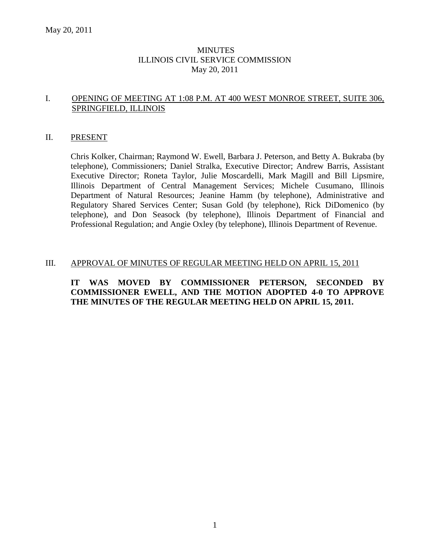## **MINUTES** ILLINOIS CIVIL SERVICE COMMISSION May 20, 2011

## I. OPENING OF MEETING AT 1:08 P.M. AT 400 WEST MONROE STREET, SUITE 306, SPRINGFIELD, ILLINOIS

## II. PRESENT

Chris Kolker, Chairman; Raymond W. Ewell, Barbara J. Peterson, and Betty A. Bukraba (by telephone), Commissioners; Daniel Stralka, Executive Director; Andrew Barris, Assistant Executive Director; Roneta Taylor, Julie Moscardelli, Mark Magill and Bill Lipsmire, Illinois Department of Central Management Services; Michele Cusumano, Illinois Department of Natural Resources; Jeanine Hamm (by telephone), Administrative and Regulatory Shared Services Center; Susan Gold (by telephone), Rick DiDomenico (by telephone), and Don Seasock (by telephone), Illinois Department of Financial and Professional Regulation; and Angie Oxley (by telephone), Illinois Department of Revenue.

#### III. APPROVAL OF MINUTES OF REGULAR MEETING HELD ON APRIL 15, 2011

## **IT WAS MOVED BY COMMISSIONER PETERSON, SECONDED BY COMMISSIONER EWELL, AND THE MOTION ADOPTED 4-0 TO APPROVE THE MINUTES OF THE REGULAR MEETING HELD ON APRIL 15, 2011.**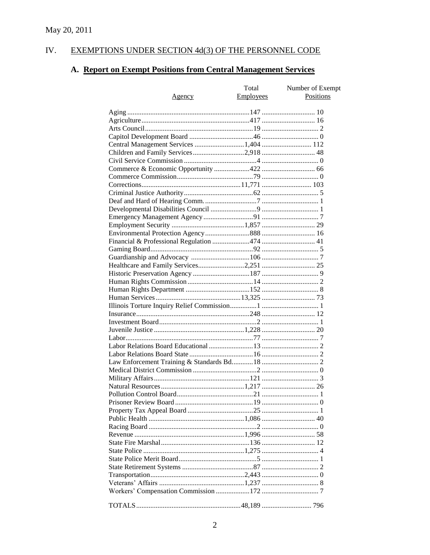#### IV. EXEMPTIONS UNDER SECTION 4d(3) OF THE PERSONNEL CODE

# A. Report on Exempt Positions from Central Management Services

|                                        | Total            | Number of Exempt |
|----------------------------------------|------------------|------------------|
| <u>Agency</u>                          | <b>Employees</b> | <b>Positions</b> |
|                                        |                  |                  |
|                                        |                  |                  |
|                                        |                  |                  |
|                                        |                  |                  |
|                                        |                  |                  |
| Central Management Services 1,404  112 |                  |                  |
| Children and Family Services2,918 48   |                  |                  |
|                                        |                  |                  |
|                                        |                  |                  |
|                                        |                  |                  |
|                                        |                  |                  |
|                                        |                  |                  |
|                                        |                  |                  |
|                                        |                  |                  |
|                                        |                  |                  |
|                                        |                  |                  |
|                                        |                  |                  |
|                                        |                  |                  |
|                                        |                  |                  |
|                                        |                  |                  |
|                                        |                  |                  |
|                                        |                  |                  |
|                                        |                  |                  |
|                                        |                  |                  |
|                                        |                  |                  |
|                                        |                  |                  |
|                                        |                  |                  |
|                                        |                  |                  |
|                                        |                  |                  |
|                                        |                  |                  |
|                                        |                  |                  |
|                                        |                  |                  |
|                                        |                  |                  |
|                                        |                  |                  |
|                                        |                  |                  |
|                                        |                  |                  |
|                                        |                  |                  |
|                                        |                  |                  |
|                                        |                  |                  |
|                                        |                  |                  |
|                                        |                  |                  |
|                                        |                  |                  |
|                                        |                  |                  |
|                                        |                  |                  |
|                                        |                  |                  |
|                                        |                  |                  |
|                                        |                  |                  |
|                                        |                  |                  |
|                                        |                  |                  |
|                                        |                  |                  |
|                                        |                  |                  |
|                                        |                  |                  |
|                                        |                  |                  |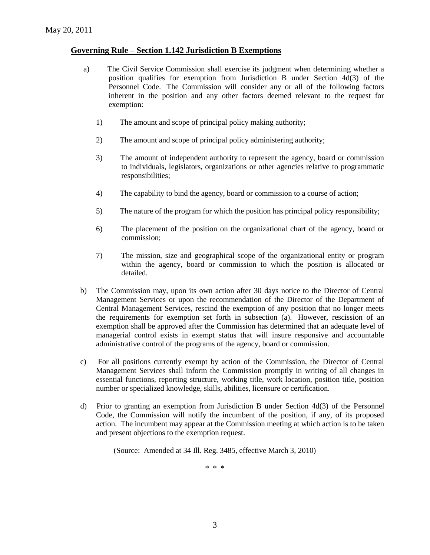## **Governing Rule – Section 1.142 Jurisdiction B Exemptions**

- a) The Civil Service Commission shall exercise its judgment when determining whether a position qualifies for exemption from Jurisdiction B under Section 4d(3) of the Personnel Code. The Commission will consider any or all of the following factors inherent in the position and any other factors deemed relevant to the request for exemption:
	- 1) The amount and scope of principal policy making authority;
	- 2) The amount and scope of principal policy administering authority;
	- 3) The amount of independent authority to represent the agency, board or commission to individuals, legislators, organizations or other agencies relative to programmatic responsibilities;
	- 4) The capability to bind the agency, board or commission to a course of action;
	- 5) The nature of the program for which the position has principal policy responsibility;
	- 6) The placement of the position on the organizational chart of the agency, board or commission;
	- 7) The mission, size and geographical scope of the organizational entity or program within the agency, board or commission to which the position is allocated or detailed.
- b) The Commission may, upon its own action after 30 days notice to the Director of Central Management Services or upon the recommendation of the Director of the Department of Central Management Services, rescind the exemption of any position that no longer meets the requirements for exemption set forth in subsection (a). However, rescission of an exemption shall be approved after the Commission has determined that an adequate level of managerial control exists in exempt status that will insure responsive and accountable administrative control of the programs of the agency, board or commission.
- c) For all positions currently exempt by action of the Commission, the Director of Central Management Services shall inform the Commission promptly in writing of all changes in essential functions, reporting structure, working title, work location, position title, position number or specialized knowledge, skills, abilities, licensure or certification.
- d) Prior to granting an exemption from Jurisdiction B under Section 4d(3) of the Personnel Code, the Commission will notify the incumbent of the position, if any, of its proposed action. The incumbent may appear at the Commission meeting at which action is to be taken and present objections to the exemption request.

(Source: Amended at 34 Ill. Reg. 3485, effective March 3, 2010)

\* \* \*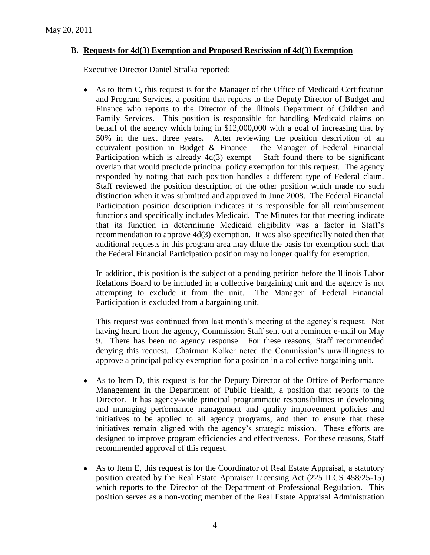# **B. Requests for 4d(3) Exemption and Proposed Rescission of 4d(3) Exemption**

Executive Director Daniel Stralka reported:

 $\bullet$ As to Item C, this request is for the Manager of the Office of Medicaid Certification and Program Services, a position that reports to the Deputy Director of Budget and Finance who reports to the Director of the Illinois Department of Children and Family Services. This position is responsible for handling Medicaid claims on behalf of the agency which bring in \$12,000,000 with a goal of increasing that by 50% in the next three years. After reviewing the position description of an equivalent position in Budget  $\&$  Finance – the Manager of Federal Financial Participation which is already  $4d(3)$  exempt – Staff found there to be significant overlap that would preclude principal policy exemption for this request. The agency responded by noting that each position handles a different type of Federal claim. Staff reviewed the position description of the other position which made no such distinction when it was submitted and approved in June 2008. The Federal Financial Participation position description indicates it is responsible for all reimbursement functions and specifically includes Medicaid. The Minutes for that meeting indicate that its function in determining Medicaid eligibility was a factor in Staff's recommendation to approve 4d(3) exemption. It was also specifically noted then that additional requests in this program area may dilute the basis for exemption such that the Federal Financial Participation position may no longer qualify for exemption.

In addition, this position is the subject of a pending petition before the Illinois Labor Relations Board to be included in a collective bargaining unit and the agency is not attempting to exclude it from the unit. The Manager of Federal Financial Participation is excluded from a bargaining unit.

This request was continued from last month's meeting at the agency's request. Not having heard from the agency, Commission Staff sent out a reminder e-mail on May 9. There has been no agency response. For these reasons, Staff recommended denying this request. Chairman Kolker noted the Commission's unwillingness to approve a principal policy exemption for a position in a collective bargaining unit.

- $\bullet$ As to Item D, this request is for the Deputy Director of the Office of Performance Management in the Department of Public Health, a position that reports to the Director. It has agency-wide principal programmatic responsibilities in developing and managing performance management and quality improvement policies and initiatives to be applied to all agency programs, and then to ensure that these initiatives remain aligned with the agency's strategic mission. These efforts are designed to improve program efficiencies and effectiveness. For these reasons, Staff recommended approval of this request.
- As to Item E, this request is for the Coordinator of Real Estate Appraisal, a statutory  $\bullet$ position created by the Real Estate Appraiser Licensing Act (225 ILCS 458/25-15) which reports to the Director of the Department of Professional Regulation. This position serves as a non-voting member of the Real Estate Appraisal Administration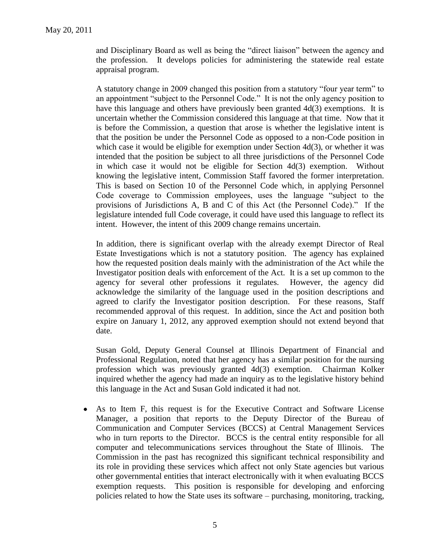and Disciplinary Board as well as being the "direct liaison" between the agency and the profession. It develops policies for administering the statewide real estate appraisal program.

A statutory change in 2009 changed this position from a statutory "four year term" to an appointment "subject to the Personnel Code." It is not the only agency position to have this language and others have previously been granted 4d(3) exemptions. It is uncertain whether the Commission considered this language at that time. Now that it is before the Commission, a question that arose is whether the legislative intent is that the position be under the Personnel Code as opposed to a non-Code position in which case it would be eligible for exemption under Section 4d(3), or whether it was intended that the position be subject to all three jurisdictions of the Personnel Code in which case it would not be eligible for Section 4d(3) exemption. Without knowing the legislative intent, Commission Staff favored the former interpretation. This is based on Section 10 of the Personnel Code which, in applying Personnel Code coverage to Commission employees, uses the language "subject to the provisions of Jurisdictions A, B and C of this Act (the Personnel Code)." If the legislature intended full Code coverage, it could have used this language to reflect its intent. However, the intent of this 2009 change remains uncertain.

In addition, there is significant overlap with the already exempt Director of Real Estate Investigations which is not a statutory position. The agency has explained how the requested position deals mainly with the administration of the Act while the Investigator position deals with enforcement of the Act. It is a set up common to the agency for several other professions it regulates. However, the agency did acknowledge the similarity of the language used in the position descriptions and agreed to clarify the Investigator position description. For these reasons, Staff recommended approval of this request. In addition, since the Act and position both expire on January 1, 2012, any approved exemption should not extend beyond that date.

Susan Gold, Deputy General Counsel at Illinois Department of Financial and Professional Regulation, noted that her agency has a similar position for the nursing profession which was previously granted 4d(3) exemption. Chairman Kolker inquired whether the agency had made an inquiry as to the legislative history behind this language in the Act and Susan Gold indicated it had not.

As to Item F, this request is for the Executive Contract and Software License Manager, a position that reports to the Deputy Director of the Bureau of Communication and Computer Services (BCCS) at Central Management Services who in turn reports to the Director. BCCS is the central entity responsible for all computer and telecommunications services throughout the State of Illinois. The Commission in the past has recognized this significant technical responsibility and its role in providing these services which affect not only State agencies but various other governmental entities that interact electronically with it when evaluating BCCS exemption requests. This position is responsible for developing and enforcing policies related to how the State uses its software – purchasing, monitoring, tracking,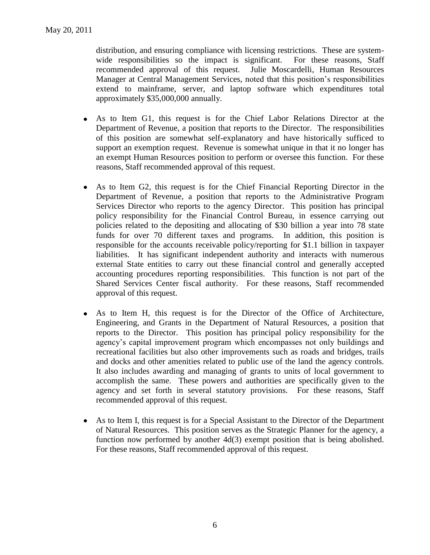distribution, and ensuring compliance with licensing restrictions. These are systemwide responsibilities so the impact is significant. For these reasons, Staff recommended approval of this request. Julie Moscardelli, Human Resources Manager at Central Management Services, noted that this position's responsibilities extend to mainframe, server, and laptop software which expenditures total approximately \$35,000,000 annually.

- As to Item G1, this request is for the Chief Labor Relations Director at the Department of Revenue, a position that reports to the Director. The responsibilities of this position are somewhat self-explanatory and have historically sufficed to support an exemption request. Revenue is somewhat unique in that it no longer has an exempt Human Resources position to perform or oversee this function. For these reasons, Staff recommended approval of this request.
- As to Item G2, this request is for the Chief Financial Reporting Director in the  $\bullet$ Department of Revenue, a position that reports to the Administrative Program Services Director who reports to the agency Director. This position has principal policy responsibility for the Financial Control Bureau, in essence carrying out policies related to the depositing and allocating of \$30 billion a year into 78 state funds for over 70 different taxes and programs. In addition, this position is responsible for the accounts receivable policy/reporting for \$1.1 billion in taxpayer liabilities. It has significant independent authority and interacts with numerous external State entities to carry out these financial control and generally accepted accounting procedures reporting responsibilities. This function is not part of the Shared Services Center fiscal authority. For these reasons, Staff recommended approval of this request.
- As to Item H, this request is for the Director of the Office of Architecture,  $\bullet$ Engineering, and Grants in the Department of Natural Resources, a position that reports to the Director. This position has principal policy responsibility for the agency's capital improvement program which encompasses not only buildings and recreational facilities but also other improvements such as roads and bridges, trails and docks and other amenities related to public use of the land the agency controls. It also includes awarding and managing of grants to units of local government to accomplish the same. These powers and authorities are specifically given to the agency and set forth in several statutory provisions. For these reasons, Staff recommended approval of this request.
- As to Item I, this request is for a Special Assistant to the Director of the Department  $\bullet$ of Natural Resources. This position serves as the Strategic Planner for the agency, a function now performed by another 4d(3) exempt position that is being abolished. For these reasons, Staff recommended approval of this request.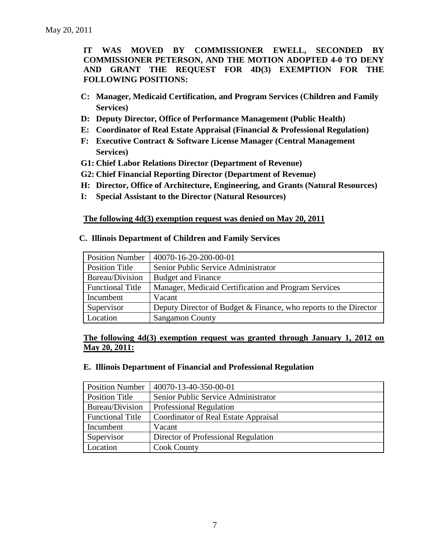**IT WAS MOVED BY COMMISSIONER EWELL, SECONDED BY COMMISSIONER PETERSON, AND THE MOTION ADOPTED 4-0 TO DENY AND GRANT THE REQUEST FOR 4D(3) EXEMPTION FOR THE FOLLOWING POSITIONS:**

- **C: Manager, Medicaid Certification, and Program Services (Children and Family Services)**
- **D: Deputy Director, Office of Performance Management (Public Health)**
- **E: Coordinator of Real Estate Appraisal (Financial & Professional Regulation)**
- **F: Executive Contract & Software License Manager (Central Management Services)**
- **G1: Chief Labor Relations Director (Department of Revenue)**
- **G2: Chief Financial Reporting Director (Department of Revenue)**
- **H: Director, Office of Architecture, Engineering, and Grants (Natural Resources)**
- **I: Special Assistant to the Director (Natural Resources)**

**The following 4d(3) exemption request was denied on May 20, 2011**

## **C. Illinois Department of Children and Family Services**

| <b>Position Number</b>  | 40070-16-20-200-00-01                                            |
|-------------------------|------------------------------------------------------------------|
| Position Title          | Senior Public Service Administrator                              |
| Bureau/Division         | <b>Budget and Finance</b>                                        |
| <b>Functional Title</b> | Manager, Medicaid Certification and Program Services             |
| Incumbent               | Vacant                                                           |
| Supervisor              | Deputy Director of Budget & Finance, who reports to the Director |
| Location                | <b>Sangamon County</b>                                           |

**The following 4d(3) exemption request was granted through January 1, 2012 on May 20, 2011:**

## **E. Illinois Department of Financial and Professional Regulation**

| <b>Position Number</b>  | 40070-13-40-350-00-01                |
|-------------------------|--------------------------------------|
| Position Title          | Senior Public Service Administrator  |
| Bureau/Division         | <b>Professional Regulation</b>       |
| <b>Functional Title</b> | Coordinator of Real Estate Appraisal |
| Incumbent               | Vacant                               |
| Supervisor              | Director of Professional Regulation  |
| Location                | <b>Cook County</b>                   |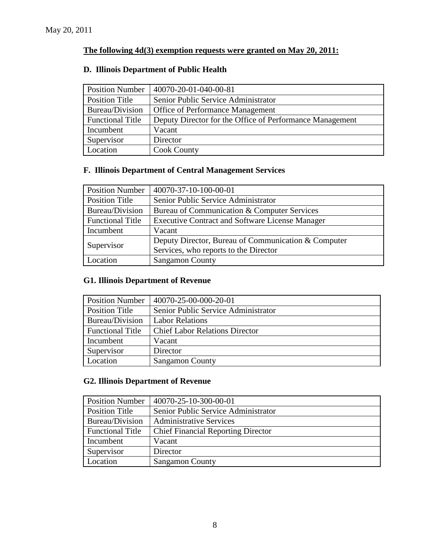# **The following 4d(3) exemption requests were granted on May 20, 2011:**

## **D. Illinois Department of Public Health**

| <b>Position Number</b>  | 40070-20-01-040-00-81                                    |
|-------------------------|----------------------------------------------------------|
| <b>Position Title</b>   | Senior Public Service Administrator                      |
| Bureau/Division         | <b>Office of Performance Management</b>                  |
| <b>Functional Title</b> | Deputy Director for the Office of Performance Management |
| Incumbent               | Vacant                                                   |
| Supervisor              | Director                                                 |
| Location                | <b>Cook County</b>                                       |

# **F. Illinois Department of Central Management Services**

| <b>Position Number</b>  | 40070-37-10-100-00-01                                  |
|-------------------------|--------------------------------------------------------|
| Position Title          | Senior Public Service Administrator                    |
| Bureau/Division         | Bureau of Communication & Computer Services            |
| <b>Functional Title</b> | <b>Executive Contract and Software License Manager</b> |
| Incumbent               | Vacant                                                 |
|                         | Deputy Director, Bureau of Communication & Computer    |
| Supervisor              | Services, who reports to the Director                  |
| Location                | <b>Sangamon County</b>                                 |

# **G1. Illinois Department of Revenue**

| <b>Position Number</b>  | $ 40070-25-00-000-20-01$              |
|-------------------------|---------------------------------------|
| Position Title          | Senior Public Service Administrator   |
| Bureau/Division         | <b>Labor Relations</b>                |
| <b>Functional Title</b> | <b>Chief Labor Relations Director</b> |
| Incumbent               | Vacant                                |
| Supervisor              | Director                              |
| Location                | <b>Sangamon County</b>                |

# **G2. Illinois Department of Revenue**

| <b>Position Number</b>  | 40070-25-10-300-00-01                     |
|-------------------------|-------------------------------------------|
| <b>Position Title</b>   | Senior Public Service Administrator       |
| Bureau/Division         | <b>Administrative Services</b>            |
| <b>Functional Title</b> | <b>Chief Financial Reporting Director</b> |
| Incumbent               | Vacant                                    |
| Supervisor              | Director                                  |
| Location                | <b>Sangamon County</b>                    |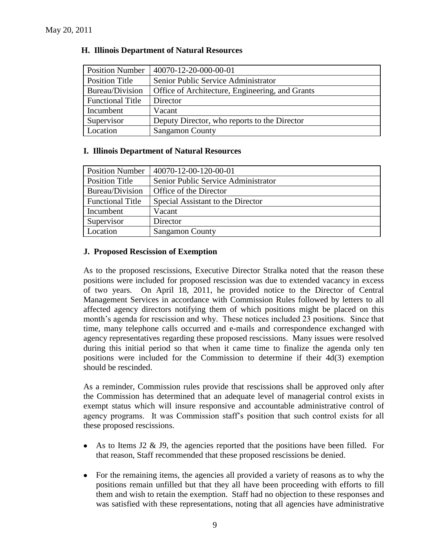| <b>Position Number</b>  | 40070-12-20-000-00-01                           |
|-------------------------|-------------------------------------------------|
| Position Title          | Senior Public Service Administrator             |
| Bureau/Division         | Office of Architecture, Engineering, and Grants |
| <b>Functional Title</b> | Director                                        |
| Incumbent               | Vacant                                          |
| Supervisor              | Deputy Director, who reports to the Director    |
| Location                | <b>Sangamon County</b>                          |

## **H. Illinois Department of Natural Resources**

## **I. Illinois Department of Natural Resources**

| <b>Position Number</b>  | 40070-12-00-120-00-01               |
|-------------------------|-------------------------------------|
| Position Title          | Senior Public Service Administrator |
| Bureau/Division         | Office of the Director              |
| <b>Functional Title</b> | Special Assistant to the Director   |
| Incumbent               | Vacant                              |
| Supervisor              | Director                            |
| Location                | <b>Sangamon County</b>              |

## **J. Proposed Rescission of Exemption**

As to the proposed rescissions, Executive Director Stralka noted that the reason these positions were included for proposed rescission was due to extended vacancy in excess of two years. On April 18, 2011, he provided notice to the Director of Central Management Services in accordance with Commission Rules followed by letters to all affected agency directors notifying them of which positions might be placed on this month's agenda for rescission and why. These notices included 23 positions. Since that time, many telephone calls occurred and e-mails and correspondence exchanged with agency representatives regarding these proposed rescissions. Many issues were resolved during this initial period so that when it came time to finalize the agenda only ten positions were included for the Commission to determine if their 4d(3) exemption should be rescinded.

As a reminder, Commission rules provide that rescissions shall be approved only after the Commission has determined that an adequate level of managerial control exists in exempt status which will insure responsive and accountable administrative control of agency programs. It was Commission staff's position that such control exists for all these proposed rescissions.

- As to Items J2  $\&$  J9, the agencies reported that the positions have been filled. For  $\bullet$ that reason, Staff recommended that these proposed rescissions be denied.
- For the remaining items, the agencies all provided a variety of reasons as to why the positions remain unfilled but that they all have been proceeding with efforts to fill them and wish to retain the exemption. Staff had no objection to these responses and was satisfied with these representations, noting that all agencies have administrative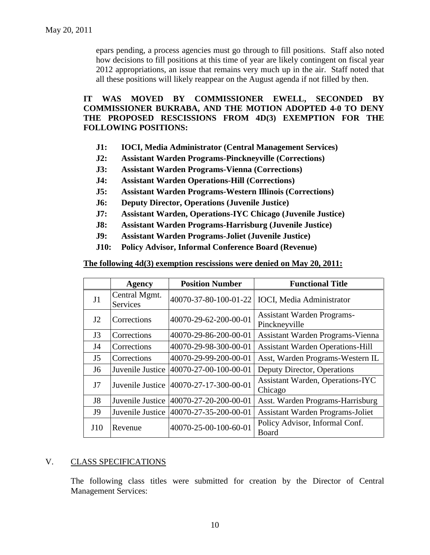epars pending, a process agencies must go through to fill positions. Staff also noted how decisions to fill positions at this time of year are likely contingent on fiscal year 2012 appropriations, an issue that remains very much up in the air. Staff noted that all these positions will likely reappear on the August agenda if not filled by then.

## **IT WAS MOVED BY COMMISSIONER EWELL, SECONDED BY COMMISSIONER BUKRABA, AND THE MOTION ADOPTED 4-0 TO DENY THE PROPOSED RESCISSIONS FROM 4D(3) EXEMPTION FOR THE FOLLOWING POSITIONS:**

- **J1: IOCI, Media Administrator (Central Management Services)**
- **J2: Assistant Warden Programs-Pinckneyville (Corrections)**
- **J3: Assistant Warden Programs-Vienna (Corrections)**
- **J4: Assistant Warden Operations-Hill (Corrections)**
- **J5: Assistant Warden Programs-Western Illinois (Corrections)**
- **J6: Deputy Director, Operations (Juvenile Justice)**
- **J7: Assistant Warden, Operations-IYC Chicago (Juvenile Justice)**
- **J8: Assistant Warden Programs-Harrisburg (Juvenile Justice)**
- **J9: Assistant Warden Programs-Joliet (Juvenile Justice)**
- **J10: Policy Advisor, Informal Conference Board (Revenue)**

#### **The following 4d(3) exemption rescissions were denied on May 20, 2011:**

|                | <b>Agency</b>                    | <b>Position Number</b> | <b>Functional Title</b>                            |  |
|----------------|----------------------------------|------------------------|----------------------------------------------------|--|
| J <sub>1</sub> | Central Mgmt.<br><b>Services</b> | 40070-37-80-100-01-22  | <b>IOCI</b> , Media Administrator                  |  |
| J2             | Corrections                      | 40070-29-62-200-00-01  | <b>Assistant Warden Programs-</b><br>Pinckneyville |  |
| J3             | Corrections                      | 40070-29-86-200-00-01  | Assistant Warden Programs-Vienna                   |  |
| J <sub>4</sub> | Corrections                      | 40070-29-98-300-00-01  | <b>Assistant Warden Operations-Hill</b>            |  |
| J <sub>5</sub> | Corrections                      | 40070-29-99-200-00-01  | Asst, Warden Programs-Western IL                   |  |
| J <sub>6</sub> | Juvenile Justice                 | 40070-27-00-100-00-01  | Deputy Director, Operations                        |  |
| J7             | Juvenile Justice                 | 40070-27-17-300-00-01  | <b>Assistant Warden, Operations-IYC</b><br>Chicago |  |
| J <sub>8</sub> | Juvenile Justice                 | 40070-27-20-200-00-01  | Asst. Warden Programs-Harrisburg                   |  |
| J9             | Juvenile Justice                 | 40070-27-35-200-00-01  | <b>Assistant Warden Programs-Joliet</b>            |  |
| J10            | Revenue                          | 40070-25-00-100-60-01  | Policy Advisor, Informal Conf.<br><b>Board</b>     |  |

## V. CLASS SPECIFICATIONS

The following class titles were submitted for creation by the Director of Central Management Services: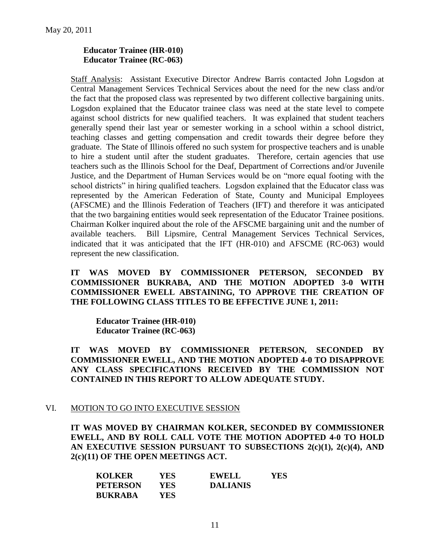## **Educator Trainee (HR-010) Educator Trainee (RC-063)**

Staff Analysis: Assistant Executive Director Andrew Barris contacted John Logsdon at Central Management Services Technical Services about the need for the new class and/or the fact that the proposed class was represented by two different collective bargaining units. Logsdon explained that the Educator trainee class was need at the state level to compete against school districts for new qualified teachers. It was explained that student teachers generally spend their last year or semester working in a school within a school district, teaching classes and getting compensation and credit towards their degree before they graduate. The State of Illinois offered no such system for prospective teachers and is unable to hire a student until after the student graduates. Therefore, certain agencies that use teachers such as the Illinois School for the Deaf, Department of Corrections and/or Juvenile Justice, and the Department of Human Services would be on "more equal footing with the school districts" in hiring qualified teachers. Logsdon explained that the Educator class was represented by the American Federation of State, County and Municipal Employees (AFSCME) and the Illinois Federation of Teachers (IFT) and therefore it was anticipated that the two bargaining entities would seek representation of the Educator Trainee positions. Chairman Kolker inquired about the role of the AFSCME bargaining unit and the number of available teachers. Bill Lipsmire, Central Management Services Technical Services, indicated that it was anticipated that the IFT (HR-010) and AFSCME (RC-063) would represent the new classification.

## **IT WAS MOVED BY COMMISSIONER PETERSON, SECONDED BY COMMISSIONER BUKRABA, AND THE MOTION ADOPTED 3-0 WITH COMMISSIONER EWELL ABSTAINING, TO APPROVE THE CREATION OF THE FOLLOWING CLASS TITLES TO BE EFFECTIVE JUNE 1, 2011:**

**Educator Trainee (HR-010) Educator Trainee (RC-063)**

**IT WAS MOVED BY COMMISSIONER PETERSON, SECONDED BY COMMISSIONER EWELL, AND THE MOTION ADOPTED 4-0 TO DISAPPROVE ANY CLASS SPECIFICATIONS RECEIVED BY THE COMMISSION NOT CONTAINED IN THIS REPORT TO ALLOW ADEQUATE STUDY.** 

## VI. MOTION TO GO INTO EXECUTIVE SESSION

**IT WAS MOVED BY CHAIRMAN KOLKER, SECONDED BY COMMISSIONER EWELL, AND BY ROLL CALL VOTE THE MOTION ADOPTED 4-0 TO HOLD AN EXECUTIVE SESSION PURSUANT TO SUBSECTIONS 2(c)(1), 2(c)(4), AND 2(c)(11) OF THE OPEN MEETINGS ACT.** 

| <b>KOLKER</b>   | YES  | <b>EWELL</b>    | YES |
|-----------------|------|-----------------|-----|
| <b>PETERSON</b> | YES- | <b>DALIANIS</b> |     |
| <b>BUKRABA</b>  | YES. |                 |     |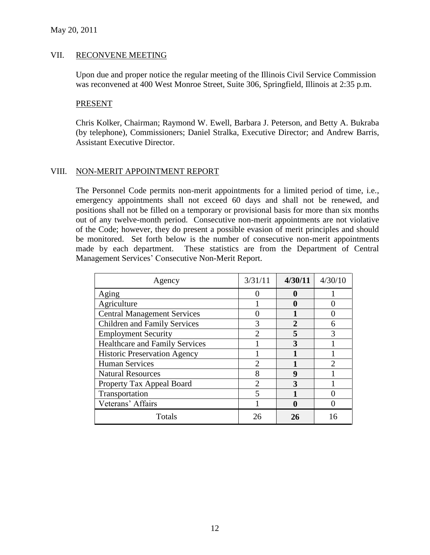#### VII. RECONVENE MEETING

Upon due and proper notice the regular meeting of the Illinois Civil Service Commission was reconvened at 400 West Monroe Street, Suite 306, Springfield, Illinois at 2:35 p.m.

#### PRESENT

Chris Kolker, Chairman; Raymond W. Ewell, Barbara J. Peterson, and Betty A. Bukraba (by telephone), Commissioners; Daniel Stralka, Executive Director; and Andrew Barris, Assistant Executive Director.

## VIII. NON-MERIT APPOINTMENT REPORT

The Personnel Code permits non-merit appointments for a limited period of time, i.e., emergency appointments shall not exceed 60 days and shall not be renewed, and positions shall not be filled on a temporary or provisional basis for more than six months out of any twelve-month period. Consecutive non-merit appointments are not violative of the Code; however, they do present a possible evasion of merit principles and should be monitored. Set forth below is the number of consecutive non-merit appointments made by each department. These statistics are from the Department of Central Management Services' Consecutive Non-Merit Report.

| Agency                                | 3/31/11 | 4/30/11 | 4/30/10 |
|---------------------------------------|---------|---------|---------|
| Aging                                 |         | O       |         |
| Agriculture                           |         |         |         |
| <b>Central Management Services</b>    |         |         |         |
| <b>Children and Family Services</b>   |         |         |         |
| <b>Employment Security</b>            | っ       | 5       |         |
| <b>Healthcare and Family Services</b> |         |         |         |
| <b>Historic Preservation Agency</b>   |         |         |         |
| <b>Human Services</b>                 |         |         |         |
| <b>Natural Resources</b>              |         | 9       |         |
| Property Tax Appeal Board             | 2       |         |         |
| Transportation                        |         |         |         |
| Veterans' Affairs                     |         |         |         |
| Totals                                |         | 26      |         |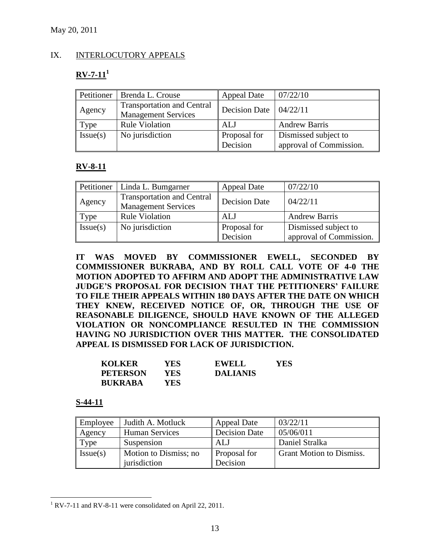## IX. INTERLOCUTORY APPEALS

# $RV-7-11<sup>1</sup>$

|          | Petitioner   Brenda L. Crouse                                   | <b>Appeal Date</b> | 07/22/10                |
|----------|-----------------------------------------------------------------|--------------------|-------------------------|
| Agency   | <b>Transportation and Central</b><br><b>Management Services</b> | Decision Date      | 04/22/11                |
| Type     | <b>Rule Violation</b>                                           | ALJ                | <b>Andrew Barris</b>    |
| Issue(s) | No jurisdiction                                                 | Proposal for       | Dismissed subject to    |
|          |                                                                 | Decision           | approval of Commission. |

## **RV-8-11**

| Petitioner | Linda L. Bumgarner                                              | <b>Appeal Date</b>       | 07/22/10                                        |
|------------|-----------------------------------------------------------------|--------------------------|-------------------------------------------------|
| Agency     | <b>Transportation and Central</b><br><b>Management Services</b> | Decision Date            | 04/22/11                                        |
| Type       | <b>Rule Violation</b>                                           | ALJ                      | <b>Andrew Barris</b>                            |
| Issue(s)   | No jurisdiction                                                 | Proposal for<br>Decision | Dismissed subject to<br>approval of Commission. |

**IT WAS MOVED BY COMMISSIONER EWELL, SECONDED BY COMMISSIONER BUKRABA, AND BY ROLL CALL VOTE OF 4-0 THE MOTION ADOPTED TO AFFIRM AND ADOPT THE ADMINISTRATIVE LAW JUDGE'S PROPOSAL FOR DECISION THAT THE PETITIONERS' FAILURE TO FILE THEIR APPEALS WITHIN 180 DAYS AFTER THE DATE ON WHICH THEY KNEW, RECEIVED NOTICE OF, OR, THROUGH THE USE OF REASONABLE DILIGENCE, SHOULD HAVE KNOWN OF THE ALLEGED VIOLATION OR NONCOMPLIANCE RESULTED IN THE COMMISSION HAVING NO JURISDICTION OVER THIS MATTER. THE CONSOLIDATED APPEAL IS DISMISSED FOR LACK OF JURISDICTION.**

| <b>KOLKER</b>   | YES. | <b>EWELL</b>    | YES |
|-----------------|------|-----------------|-----|
| <b>PETERSON</b> | YES. | <b>DALIANIS</b> |     |
| <b>BUKRABA</b>  | YES. |                 |     |

## **S-44-11**

 $\overline{a}$ 

| Employee | Judith A. Motluck     | <b>Appeal Date</b>   | 03/22/11                        |
|----------|-----------------------|----------------------|---------------------------------|
| Agency   | <b>Human Services</b> | <b>Decision Date</b> | 05/06/011                       |
| Type     | Suspension            | ALJ                  | Daniel Stralka                  |
| Issue(s) | Motion to Dismiss; no | Proposal for         | <b>Grant Motion to Dismiss.</b> |
|          | jurisdiction          | Decision             |                                 |

<sup>&</sup>lt;sup>1</sup> RV-7-11 and RV-8-11 were consolidated on April 22, 2011.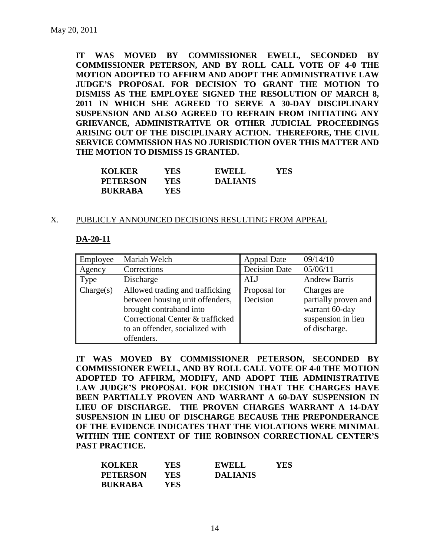**IT WAS MOVED BY COMMISSIONER EWELL, SECONDED BY COMMISSIONER PETERSON, AND BY ROLL CALL VOTE OF 4-0 THE MOTION ADOPTED TO AFFIRM AND ADOPT THE ADMINISTRATIVE LAW JUDGE'S PROPOSAL FOR DECISION TO GRANT THE MOTION TO DISMISS AS THE EMPLOYEE SIGNED THE RESOLUTION OF MARCH 8, 2011 IN WHICH SHE AGREED TO SERVE A 30-DAY DISCIPLINARY SUSPENSION AND ALSO AGREED TO REFRAIN FROM INITIATING ANY GRIEVANCE, ADMINISTRATIVE OR OTHER JUDICIAL PROCEEDINGS ARISING OUT OF THE DISCIPLINARY ACTION. THEREFORE, THE CIVIL SERVICE COMMISSION HAS NO JURISDICTION OVER THIS MATTER AND THE MOTION TO DISMISS IS GRANTED.**

| <b>KOLKER</b>   | YES. | <b>EWELL</b>    | YES |
|-----------------|------|-----------------|-----|
| <b>PETERSON</b> | YES. | <b>DALIANIS</b> |     |
| <b>BUKRABA</b>  | YES. |                 |     |

#### X. PUBLICLY ANNOUNCED DECISIONS RESULTING FROM APPEAL

#### **DA-20-11**

| Employee  | Mariah Welch                     | <b>Appeal Date</b>   | 09/14/10             |
|-----------|----------------------------------|----------------------|----------------------|
| Agency    | Corrections                      | <b>Decision Date</b> | 05/06/11             |
| Type      | Discharge                        | ALJ                  | <b>Andrew Barris</b> |
| Change(s) | Allowed trading and trafficking  | Proposal for         | Charges are          |
|           | between housing unit offenders,  | Decision             | partially proven and |
|           | brought contraband into          |                      | warrant 60-day       |
|           | Correctional Center & trafficked |                      | suspension in lieu   |
|           | to an offender, socialized with  |                      | of discharge.        |
|           | offenders.                       |                      |                      |

**IT WAS MOVED BY COMMISSIONER PETERSON, SECONDED BY COMMISSIONER EWELL, AND BY ROLL CALL VOTE OF 4-0 THE MOTION ADOPTED TO AFFIRM, MODIFY, AND ADOPT THE ADMINISTRATIVE LAW JUDGE'S PROPOSAL FOR DECISION THAT THE CHARGES HAVE BEEN PARTIALLY PROVEN AND WARRANT A 60-DAY SUSPENSION IN LIEU OF DISCHARGE. THE PROVEN CHARGES WARRANT A 14-DAY SUSPENSION IN LIEU OF DISCHARGE BECAUSE THE PREPONDERANCE OF THE EVIDENCE INDICATES THAT THE VIOLATIONS WERE MINIMAL WITHIN THE CONTEXT OF THE ROBINSON CORRECTIONAL CENTER'S PAST PRACTICE.**

| <b>KOLKER</b>   | YES        | <b>EWELL</b>    | YES |
|-----------------|------------|-----------------|-----|
| <b>PETERSON</b> | <b>YES</b> | <b>DALIANIS</b> |     |
| <b>BUKRABA</b>  | YES.       |                 |     |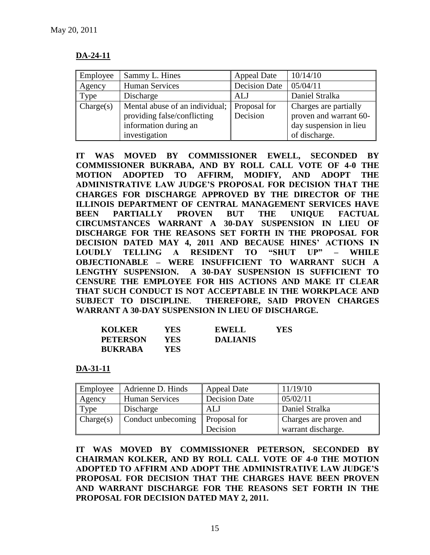# **DA-24-11**

| Employee  | Sammy L. Hines                              | <b>Appeal Date</b>   | 10/14/10               |
|-----------|---------------------------------------------|----------------------|------------------------|
| Agency    | <b>Human Services</b>                       | <b>Decision Date</b> | 05/04/11               |
| Type      | Discharge                                   | ALJ                  | Daniel Stralka         |
| Change(s) | Mental abuse of an individual; Proposal for |                      | Charges are partially  |
|           | providing false/conflicting                 | Decision             | proven and warrant 60- |
|           | information during an                       |                      | day suspension in lieu |
|           | investigation                               |                      | of discharge.          |

**IT WAS MOVED BY COMMISSIONER EWELL, SECONDED BY COMMISSIONER BUKRABA, AND BY ROLL CALL VOTE OF 4-0 THE MOTION ADOPTED TO AFFIRM, MODIFY, AND ADOPT THE ADMINISTRATIVE LAW JUDGE'S PROPOSAL FOR DECISION THAT THE CHARGES FOR DISCHARGE APPROVED BY THE DIRECTOR OF THE ILLINOIS DEPARTMENT OF CENTRAL MANAGEMENT SERVICES HAVE BEEN PARTIALLY PROVEN BUT THE UNIQUE FACTUAL CIRCUMSTANCES WARRANT A 30-DAY SUSPENSION IN LIEU OF DISCHARGE FOR THE REASONS SET FORTH IN THE PROPOSAL FOR DECISION DATED MAY 4, 2011 AND BECAUSE HINES' ACTIONS IN LOUDLY TELLING A RESIDENT TO "SHUT UP" – WHILE OBJECTIONABLE – WERE INSUFFICIENT TO WARRANT SUCH A LENGTHY SUSPENSION. A 30-DAY SUSPENSION IS SUFFICIENT TO CENSURE THE EMPLOYEE FOR HIS ACTIONS AND MAKE IT CLEAR THAT SUCH CONDUCT IS NOT ACCEPTABLE IN THE WORKPLACE AND SUBJECT TO DISCIPLINE**. **THEREFORE, SAID PROVEN CHARGES WARRANT A 30-DAY SUSPENSION IN LIEU OF DISCHARGE.**

| <b>KOLKER</b>   | YES. | <b>EWELL</b>    | YES |
|-----------------|------|-----------------|-----|
| <b>PETERSON</b> | YES. | <b>DALIANIS</b> |     |
| <b>BUKRABA</b>  | YES. |                 |     |

**DA-31-11**

| Employee  | Adrienne D. Hinds     | <b>Appeal Date</b>   | 11/19/10               |
|-----------|-----------------------|----------------------|------------------------|
| Agency    | <b>Human Services</b> | <b>Decision Date</b> | 05/02/11               |
| Type      | Discharge             | ALJ                  | Daniel Stralka         |
| Change(s) | Conduct unbecoming    | Proposal for         | Charges are proven and |
|           |                       | Decision             | warrant discharge.     |

**IT WAS MOVED BY COMMISSIONER PETERSON, SECONDED BY CHAIRMAN KOLKER, AND BY ROLL CALL VOTE OF 4-0 THE MOTION ADOPTED TO AFFIRM AND ADOPT THE ADMINISTRATIVE LAW JUDGE'S PROPOSAL FOR DECISION THAT THE CHARGES HAVE BEEN PROVEN AND WARRANT DISCHARGE FOR THE REASONS SET FORTH IN THE PROPOSAL FOR DECISION DATED MAY 2, 2011.**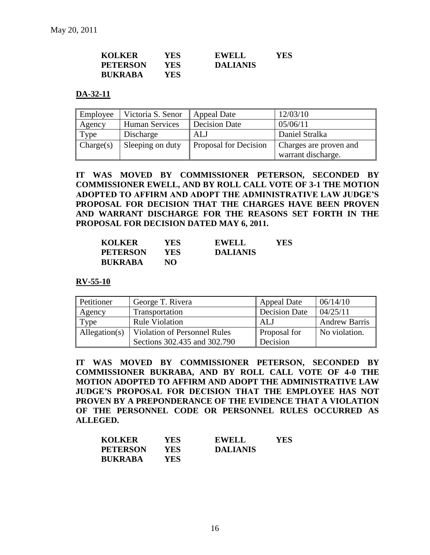| <b>KOLKER</b>   | YES. | <b>EWELL</b>    | <b>YES</b> |
|-----------------|------|-----------------|------------|
| <b>PETERSON</b> | YES. | <b>DALIANIS</b> |            |
| <b>BUKRABA</b>  | YES. |                 |            |

#### **DA-32-11**

| Employee  | Victoria S. Senor | <b>Appeal Date</b>    | 12/03/10               |
|-----------|-------------------|-----------------------|------------------------|
| Agency    | Human Services    | <b>Decision Date</b>  | 05/06/11               |
| Type      | Discharge         | ALJ                   | Daniel Stralka         |
| Change(s) | Sleeping on duty  | Proposal for Decision | Charges are proven and |
|           |                   |                       | warrant discharge.     |

**IT WAS MOVED BY COMMISSIONER PETERSON, SECONDED BY COMMISSIONER EWELL, AND BY ROLL CALL VOTE OF 3-1 THE MOTION ADOPTED TO AFFIRM AND ADOPT THE ADMINISTRATIVE LAW JUDGE'S PROPOSAL FOR DECISION THAT THE CHARGES HAVE BEEN PROVEN AND WARRANT DISCHARGE FOR THE REASONS SET FORTH IN THE PROPOSAL FOR DECISION DATED MAY 6, 2011.** 

| <b>KOLKER</b>   | YES. | <b>EWELL</b>    | YES |
|-----------------|------|-----------------|-----|
| <b>PETERSON</b> | YES  | <b>DALIANIS</b> |     |
| <b>BUKRABA</b>  | NO.  |                 |     |

**RV-55-10**

| Petitioner    | George T. Rivera                    | <b>Appeal Date</b>   | 06/14/10             |
|---------------|-------------------------------------|----------------------|----------------------|
| Agency        | Transportation                      | <b>Decision Date</b> | 04/25/11             |
| Type          | <b>Rule Violation</b>               | AL J                 | <b>Andrew Barris</b> |
| Allegation(s) | <b>Violation of Personnel Rules</b> | <b>Proposal for</b>  | No violation.        |
|               | Sections 302.435 and 302.790        | Decision             |                      |

**IT WAS MOVED BY COMMISSIONER PETERSON, SECONDED BY COMMISSIONER BUKRABA, AND BY ROLL CALL VOTE OF 4-0 THE MOTION ADOPTED TO AFFIRM AND ADOPT THE ADMINISTRATIVE LAW JUDGE'S PROPOSAL FOR DECISION THAT THE EMPLOYEE HAS NOT PROVEN BY A PREPONDERANCE OF THE EVIDENCE THAT A VIOLATION OF THE PERSONNEL CODE OR PERSONNEL RULES OCCURRED AS ALLEGED.**

| <b>KOLKER</b>   | YES. | <b>EWELL</b>    | YES |
|-----------------|------|-----------------|-----|
| <b>PETERSON</b> | YES  | <b>DALIANIS</b> |     |
| <b>BUKRABA</b>  | YES  |                 |     |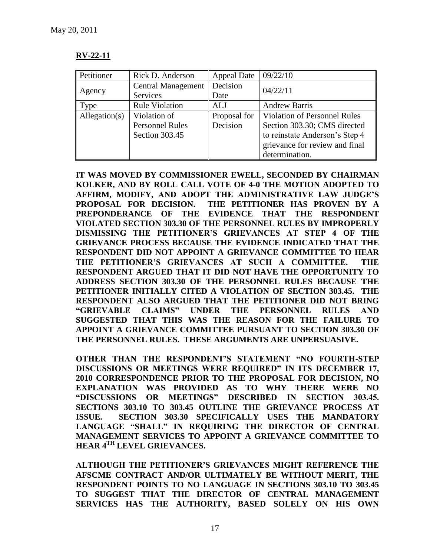| $\mathbf{V}$ ,<br>, 1<br>R V<br>ш<br>H<br>44-1 |
|------------------------------------------------|
|                                                |

| Petitioner    | Rick D. Anderson          | <b>Appeal Date</b> | 09/22/10                            |  |
|---------------|---------------------------|--------------------|-------------------------------------|--|
| Agency        | <b>Central Management</b> | Decision           | 04/22/11                            |  |
|               | Services                  | Date               |                                     |  |
| Type          | <b>Rule Violation</b>     | AL J               | <b>Andrew Barris</b>                |  |
| Allegation(s) | Violation of              | Proposal for       | <b>Violation of Personnel Rules</b> |  |
|               | <b>Personnel Rules</b>    | Decision           | Section 303.30; CMS directed        |  |
|               | Section 303.45            |                    | to reinstate Anderson's Step 4      |  |
|               |                           |                    | grievance for review and final      |  |
|               |                           |                    | determination.                      |  |

**IT WAS MOVED BY COMMISSIONER EWELL, SECONDED BY CHAIRMAN KOLKER, AND BY ROLL CALL VOTE OF 4-0 THE MOTION ADOPTED TO AFFIRM, MODIFY, AND ADOPT THE ADMINISTRATIVE LAW JUDGE'S PROPOSAL FOR DECISION. THE PETITIONER HAS PROVEN BY A PREPONDERANCE OF THE EVIDENCE THAT THE RESPONDENT VIOLATED SECTION 303.30 OF THE PERSONNEL RULES BY IMPROPERLY DISMISSING THE PETITIONER'S GRIEVANCES AT STEP 4 OF THE GRIEVANCE PROCESS BECAUSE THE EVIDENCE INDICATED THAT THE RESPONDENT DID NOT APPOINT A GRIEVANCE COMMITTEE TO HEAR THE PETITIONER'S GRIEVANCES AT SUCH A COMMITTEE. THE RESPONDENT ARGUED THAT IT DID NOT HAVE THE OPPORTUNITY TO ADDRESS SECTION 303.30 OF THE PERSONNEL RULES BECAUSE THE PETITIONER INITIALLY CITED A VIOLATION OF SECTION 303.45. THE RESPONDENT ALSO ARGUED THAT THE PETITIONER DID NOT BRING "GRIEVABLE CLAIMS" UNDER THE PERSONNEL RULES AND SUGGESTED THAT THIS WAS THE REASON FOR THE FAILURE TO APPOINT A GRIEVANCE COMMITTEE PURSUANT TO SECTION 303.30 OF THE PERSONNEL RULES. THESE ARGUMENTS ARE UNPERSUASIVE.** 

**OTHER THAN THE RESPONDENT'S STATEMENT "NO FOURTH-STEP DISCUSSIONS OR MEETINGS WERE REQUIRED" IN ITS DECEMBER 17, 2010 CORRESPONDENCE PRIOR TO THE PROPOSAL FOR DECISION, NO EXPLANATION WAS PROVIDED AS TO WHY THERE WERE NO "DISCUSSIONS OR MEETINGS" DESCRIBED IN SECTION 303.45. SECTIONS 303.10 TO 303.45 OUTLINE THE GRIEVANCE PROCESS AT ISSUE. SECTION 303.30 SPECIFICALLY USES THE MANDATORY LANGUAGE "SHALL" IN REQUIRING THE DIRECTOR OF CENTRAL MANAGEMENT SERVICES TO APPOINT A GRIEVANCE COMMITTEE TO HEAR 4TH LEVEL GRIEVANCES.** 

**ALTHOUGH THE PETITIONER'S GRIEVANCES MIGHT REFERENCE THE AFSCME CONTRACT AND/OR ULTIMATELY BE WITHOUT MERIT, THE RESPONDENT POINTS TO NO LANGUAGE IN SECTIONS 303.10 TO 303.45 TO SUGGEST THAT THE DIRECTOR OF CENTRAL MANAGEMENT SERVICES HAS THE AUTHORITY, BASED SOLELY ON HIS OWN**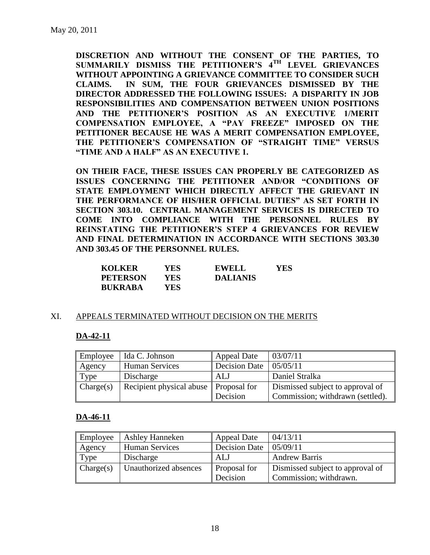**DISCRETION AND WITHOUT THE CONSENT OF THE PARTIES, TO SUMMARILY DISMISS THE PETITIONER'S 4TH LEVEL GRIEVANCES WITHOUT APPOINTING A GRIEVANCE COMMITTEE TO CONSIDER SUCH CLAIMS. IN SUM, THE FOUR GRIEVANCES DISMISSED BY THE DIRECTOR ADDRESSED THE FOLLOWING ISSUES: A DISPARITY IN JOB RESPONSIBILITIES AND COMPENSATION BETWEEN UNION POSITIONS AND THE PETITIONER'S POSITION AS AN EXECUTIVE 1/MERIT COMPENSATION EMPLOYEE, A "PAY FREEZE" IMPOSED ON THE PETITIONER BECAUSE HE WAS A MERIT COMPENSATION EMPLOYEE, THE PETITIONER'S COMPENSATION OF "STRAIGHT TIME" VERSUS "TIME AND A HALF" AS AN EXECUTIVE 1.** 

**ON THEIR FACE, THESE ISSUES CAN PROPERLY BE CATEGORIZED AS ISSUES CONCERNING THE PETITIONER AND/OR "CONDITIONS OF STATE EMPLOYMENT WHICH DIRECTLY AFFECT THE GRIEVANT IN THE PERFORMANCE OF HIS/HER OFFICIAL DUTIES" AS SET FORTH IN SECTION 303.10. CENTRAL MANAGEMENT SERVICES IS DIRECTED TO COME INTO COMPLIANCE WITH THE PERSONNEL RULES BY REINSTATING THE PETITIONER'S STEP 4 GRIEVANCES FOR REVIEW AND FINAL DETERMINATION IN ACCORDANCE WITH SECTIONS 303.30 AND 303.45 OF THE PERSONNEL RULES.**

| <b>KOLKER</b>   | YES ! | <b>EWELL</b>    | YES |
|-----------------|-------|-----------------|-----|
| <b>PETERSON</b> | YES-  | <b>DALIANIS</b> |     |
| <b>BUKRABA</b>  | YES-  |                 |     |

## XI. APPEALS TERMINATED WITHOUT DECISION ON THE MERITS

## **DA-42-11**

| Employee  | Ida C. Johnson                          | <b>Appeal Date</b>   | 03/07/11                         |
|-----------|-----------------------------------------|----------------------|----------------------------------|
| Agency    | <b>Human Services</b>                   | <b>Decision Date</b> | 05/05/11                         |
| Type      | Discharge                               | ALJ                  | Daniel Stralka                   |
| Change(s) | Recipient physical abuse   Proposal for |                      | Dismissed subject to approval of |
|           |                                         | Decision             | Commission; withdrawn (settled). |

#### **DA-46-11**

| Employee  | <b>Ashley Hanneken</b> | <b>Appeal Date</b> | 04/13/11                         |
|-----------|------------------------|--------------------|----------------------------------|
| Agency    | <b>Human Services</b>  | Decision Date      | 05/09/11                         |
| Type      | Discharge              | ALJ                | <b>Andrew Barris</b>             |
| Change(s) | Unauthorized absences  | Proposal for       | Dismissed subject to approval of |
|           |                        | Decision           | Commission; withdrawn.           |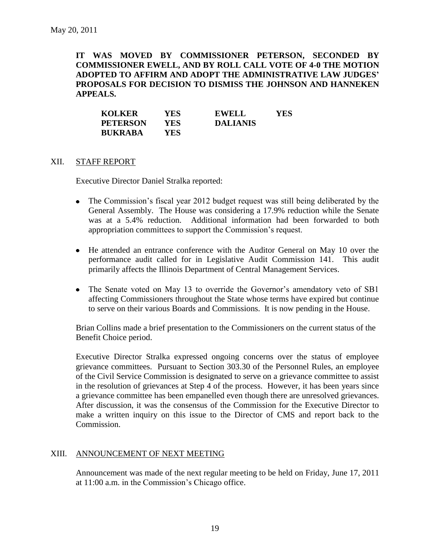## **IT WAS MOVED BY COMMISSIONER PETERSON, SECONDED BY COMMISSIONER EWELL, AND BY ROLL CALL VOTE OF 4-0 THE MOTION ADOPTED TO AFFIRM AND ADOPT THE ADMINISTRATIVE LAW JUDGES' PROPOSALS FOR DECISION TO DISMISS THE JOHNSON AND HANNEKEN APPEALS.**

| <b>KOLKER</b>   | YES. | <b>EWELL</b>    | YES |
|-----------------|------|-----------------|-----|
| <b>PETERSON</b> | YES  | <b>DALIANIS</b> |     |
| <b>BUKRABA</b>  | YES  |                 |     |

#### XII. STAFF REPORT

Executive Director Daniel Stralka reported:

- The Commission's fiscal year 2012 budget request was still being deliberated by the General Assembly. The House was considering a 17.9% reduction while the Senate was at a 5.4% reduction. Additional information had been forwarded to both appropriation committees to support the Commission's request.
- He attended an entrance conference with the Auditor General on May 10 over the performance audit called for in Legislative Audit Commission 141. This audit primarily affects the Illinois Department of Central Management Services.
- The Senate voted on May 13 to override the Governor's amendatory veto of SB1 affecting Commissioners throughout the State whose terms have expired but continue to serve on their various Boards and Commissions. It is now pending in the House.

Brian Collins made a brief presentation to the Commissioners on the current status of the Benefit Choice period.

Executive Director Stralka expressed ongoing concerns over the status of employee grievance committees. Pursuant to Section 303.30 of the Personnel Rules, an employee of the Civil Service Commission is designated to serve on a grievance committee to assist in the resolution of grievances at Step 4 of the process. However, it has been years since a grievance committee has been empanelled even though there are unresolved grievances. After discussion, it was the consensus of the Commission for the Executive Director to make a written inquiry on this issue to the Director of CMS and report back to the Commission.

## XIII. ANNOUNCEMENT OF NEXT MEETING

Announcement was made of the next regular meeting to be held on Friday, June 17, 2011 at 11:00 a.m. in the Commission's Chicago office.